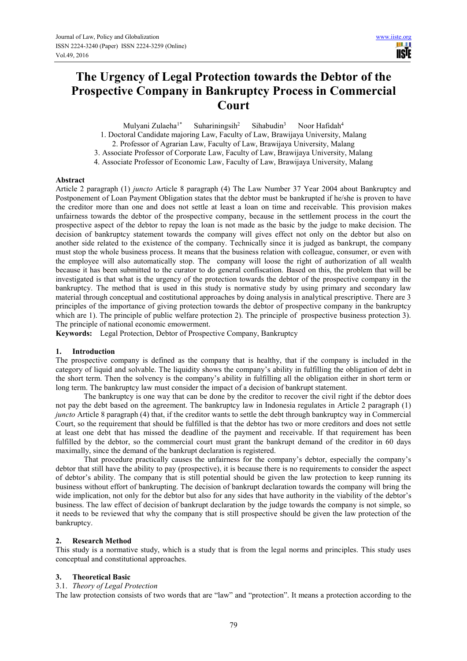# **The Urgency of Legal Protection towards the Debtor of the Prospective Company in Bankruptcy Process in Commercial Court**

Mulyani Zulaeha<sup>1\*</sup> Suhariningsih<sup>2</sup> Sihabudin<sup>3</sup> Noor Hafidah<sup>4</sup>

- 1. Doctoral Candidate majoring Law, Faculty of Law, Brawijaya University, Malang
- 2. Professor of Agrarian Law, Faculty of Law, Brawijaya University, Malang
- 3. Associate Professor of Corporate Law, Faculty of Law, Brawijaya University, Malang
- 4. Associate Professor of Economic Law, Faculty of Law, Brawijaya University, Malang

# **Abstract**

Article 2 paragraph (1) *juncto* Article 8 paragraph (4) The Law Number 37 Year 2004 about Bankruptcy and Postponement of Loan Payment Obligation states that the debtor must be bankrupted if he/she is proven to have the creditor more than one and does not settle at least a loan on time and receivable. This provision makes unfairness towards the debtor of the prospective company, because in the settlement process in the court the prospective aspect of the debtor to repay the loan is not made as the basic by the judge to make decision. The decision of bankruptcy statement towards the company will gives effect not only on the debtor but also on another side related to the existence of the company. Technically since it is judged as bankrupt, the company must stop the whole business process. It means that the business relation with colleague, consumer, or even with the employee will also automatically stop. The company will loose the right of authorization of all wealth because it has been submitted to the curator to do general confiscation. Based on this, the problem that will be investigated is that what is the urgency of the protection towards the debtor of the prospective company in the bankruptcy. The method that is used in this study is normative study by using primary and secondary law material through conceptual and costitutional approaches by doing analysis in analytical prescriptive. There are 3 principles of the importance of giving protection towards the debtor of prospective company in the bankruptcy which are 1). The principle of public welfare protection 2). The principle of prospective business protection 3). The principle of national economic emowerment.

**Keywords:** Legal Protection, Debtor of Prospective Company, Bankruptcy

# **1. Introduction**

The prospective company is defined as the company that is healthy, that if the company is included in the category of liquid and solvable. The liquidity shows the company's ability in fulfilling the obligation of debt in the short term. Then the solvency is the company's ability in fulfilling all the obligation either in short term or long term. The bankruptcy law must consider the impact of a decision of bankrupt statement.

The bankruptcy is one way that can be done by the creditor to recover the civil right if the debtor does not pay the debt based on the agreement. The bankruptcy law in Indonesia regulates in Article 2 paragraph (1) *juncto* Article 8 paragraph (4) that, if the creditor wants to settle the debt through bankruptcy way in Commercial Court, so the requirement that should be fulfilled is that the debtor has two or more creditors and does not settle at least one debt that has missed the deadline of the payment and receivable. If that requirement has been fulfilled by the debtor, so the commercial court must grant the bankrupt demand of the creditor in 60 days maximally, since the demand of the bankrupt declaration is registered.

That procedure practically causes the unfairness for the company's debtor, especially the company's debtor that still have the ability to pay (prospective), it is because there is no requirements to consider the aspect of debtor's ability. The company that is still potential should be given the law protection to keep running its business without effort of bankrupting. The decision of bankrupt declaration towards the company will bring the wide implication, not only for the debtor but also for any sides that have authority in the viability of the debtor's business. The law effect of decision of bankrupt declaration by the judge towards the company is not simple, so it needs to be reviewed that why the company that is still prospective should be given the law protection of the bankruptcy.

# **2. Research Method**

This study is a normative study, which is a study that is from the legal norms and principles. This study uses conceptual and constitutional approaches.

# **3. Theoretical Basic**

# 3.1. *Theory of Legal Protection*

The law protection consists of two words that are "law" and "protection". It means a protection according to the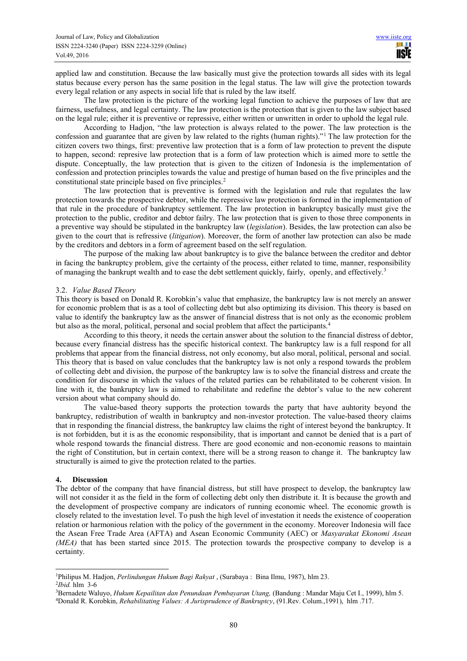applied law and constitution. Because the law basically must give the protection towards all sides with its legal status because every person has the same position in the legal status. The law will give the protection towards every legal relation or any aspects in social life that is ruled by the law itself.

The law protection is the picture of the working legal function to achieve the purposes of law that are fairness, usefulness, and legal certainty. The law protection is the protection that is given to the law subject based on the legal rule; either it is preventive or repressive, either written or unwritten in order to uphold the legal rule.

According to Hadjon, "the law protection is always related to the power. The law protection is the confession and guarantee that are given by law related to the rights (human rights)."<sup>1</sup> The law protection for the citizen covers two things, first: preventive law protection that is a form of law protection to prevent the dispute to happen, second: represive law protection that is a form of law protection which is aimed more to settle the dispute. Conceptually, the law protection that is given to the citizen of Indonesia is the implementation of confession and protection principles towards the value and prestige of human based on the five principles and the constitutional state principle based on five principles.<sup>2</sup>

The law protection that is preventive is formed with the legislation and rule that regulates the law protection towards the prospective debtor, while the repressive law protection is formed in the implementation of that rule in the procedure of bankruptcy settlement. The law protection in bankruptcy basically must give the protection to the public, creditor and debtor failry. The law protection that is given to those three components in a preventive way should be stipulated in the bankruptcy law (*legislation*). Besides, the law protection can also be given to the court that is refressive (*litigation*). Moreover, the form of another law protection can also be made by the creditors and debtors in a form of agreement based on the self regulation.

The purpose of the making law about bankruptcy is to give the balance between the creditor and debtor in facing the bankruptcy problem, give the certainty of the process, either related to time, manner, responsibility of managing the bankrupt wealth and to ease the debt settlement quickly, fairly, openly, and effectively.<sup>3</sup>

## 3.2. *Value Based Theory*

This theory is based on Donald R. Korobkin's value that emphasize, the bankruptcy law is not merely an answer for economic problem that is as a tool of collecting debt but also optimizing its division. This theory is based on value to identify the bankruptcy law as the answer of financial distress that is not only as the economic problem but also as the moral, political, personal and social problem that affect the participants.<sup>4</sup>

According to this theory, it needs the certain answer about the solution to the financial distress of debtor, because every financial distress has the specific historical context. The bankruptcy law is a full respond for all problems that appear from the financial distress, not only economy, but also moral, political, personal and social. This theory that is based on value concludes that the bankruptcy law is not only a respond towards the problem of collecting debt and division, the purpose of the bankruptcy law is to solve the financial distress and create the condition for discourse in which the values of the related parties can be rehabilitated to be coherent vision. In line with it, the bankruptcy law is aimed to rehabilitate and redefine the debtor's value to the new coherent version about what company should do.

The value-based theory supports the protection towards the party that have auhtority beyond the bankruptcy, redistribution of wealth in bankruptcy and non-investor protection. The value-based theory claims that in responding the financial distress, the bankruptcy law claims the right of interest beyond the bankruptcy. It is not forbidden, but it is as the economic responsibility, that is important and cannot be denied that is a part of whole respond towards the financial distress. There are good economic and non-economic reasons to maintain the right of Constitution, but in certain context, there will be a strong reason to change it. The bankruptcy law structurally is aimed to give the protection related to the parties.

### **4. Discussion**

The debtor of the company that have financial distress, but still have prospect to develop, the bankruptcy law will not consider it as the field in the form of collecting debt only then distribute it. It is because the growth and the development of prospective company are indicators of running economic wheel. The economic growth is closely related to the investation level. To push the high level of investation it needs the existence of cooperation relation or harmonious relation with the policy of the government in the economy. Moreover Indonesia will face the Asean Free Trade Area (AFTA) and Asean Economic Community (AEC) or *Masyarakat Ekonomi Asean (MEA)* that has been started since 2015. The protection towards the prospective company to develop is a certainty.

 $\overline{a}$ 

<sup>1</sup>Philipus M. Hadjon, *Perlindungan Hukum Bagi Rakyat* , (Surabaya : Bina Ilmu, 1987), hlm 23.

<sup>2</sup> *Ibid.* hlm 3-6

<sup>3</sup>Bernadete Waluyo, *Hukum Kepailitan dan Penundaan Pembayaran Utang,* (Bandung : Mandar Maju Cet I., 1999), hlm 5.

<sup>4</sup>Donald R. Korobkin, *Rehabilitating Values: A Jurisprudence of Bankruptcy*, (91.Rev. Colum.,1991), hlm .717.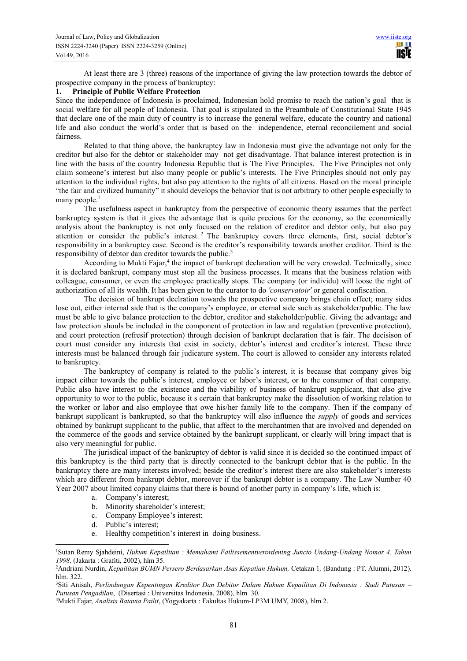At least there are 3 (three) reasons of the importance of giving the law protection towards the debtor of prospective company in the process of bankruptcy:

## **1. Principle of Public Welfare Protection**

Since the independence of Indonesia is proclaimed, Indonesian hold promise to reach the nation's goal that is social welfare for all people of Indonesia. That goal is stipulated in the Preambule of Constitutional State 1945 that declare one of the main duty of country is to increase the general welfare, educate the country and national life and also conduct the world's order that is based on the independence, eternal reconcilement and social fairness.

Related to that thing above, the bankruptcy law in Indonesia must give the advantage not only for the creditor but also for the debtor or stakeholder may not get disadvantage. That balance interest protection is in line with the basis of the country Indonesia Republic that is The Five Principles. The Five Principles not only claim someone's interest but also many people or public's interests. The Five Principles should not only pay attention to the individual rights, but also pay attention to the rights of all citizens. Based on the moral principle "the fair and civilized humanity" it should develops the behavior that is not arbitrary to other people especially to many people. $<sup>1</sup>$ </sup>

The usefulness aspect in bankruptcy from the perspective of economic theory assumes that the perfect bankruptcy system is that it gives the advantage that is quite precious for the economy, so the economically analysis about the bankruptcy is not only focused on the relation of creditor and debtor only, but also pay attention or consider the public's interest.<sup>2</sup> The bankruptcy covers three elements, first, social debtor's responsibility in a bankruptcy case. Second is the creditor's responsibility towards another creditor. Third is the responsibility of debtor dan creditor towards the public.<sup>3</sup>

According to Mukti Fajar,<sup>4</sup> the impact of bankrupt declaration will be very crowded. Technically, since it is declared bankrupt, company must stop all the business processes. It means that the business relation with colleague, consumer, or even the employee practically stops. The company (or individu) will loose the right of authorization of all its wealth. It has been given to the curator to do *'conservatoir'* or general confiscation.

The decision of bankrupt declration towards the prospective company brings chain effect; many sides lose out, either internal side that is the company's employee, or eternal side such as stakeholder/public. The law must be able to give balance protection to the debtor, creditor and stakeholder/public. Giving the advantage and law protection shouls be included in the component of protection in law and regulation (preventive protection), and court protection (refresif protection) through decision of bankrupt declaration that is fair. The decisison of court must consider any interests that exist in society, debtor's interest and creditor's interest. These three interests must be balanced through fair judicature system. The court is allowed to consider any interests related to bankruptcy.

The bankruptcy of company is related to the public's interest, it is because that company gives big impact either towards the public's interest, employee or labor's interest, or to the consumer of that company. Public also have interest to the existence and the viability of business of bankrupt supplicant, that also give opportunity to wor to the public, because it s certain that bankruptcy make the dissolution of working relation to the worker or labor and also employee that owe his/her family life to the company. Then if the company of bankrupt supplicant is bankrupted, so that the bankruptcy will also influence the *supply* of goods and services obtained by bankrupt supplicant to the public, that affect to the merchantmen that are involved and depended on the commerce of the goods and service obtained by the bankrupt supplicant, or clearly will bring impact that is also very meaningful for public.

The jurisdical impact of the bankruptcy of debtor is valid since it is decided so the continued impact of this bankruptcy is the third party that is directly connected to the bankrupt debtor that is the public. In the bankruptcy there are many interests involved; beside the creditor's interest there are also stakeholder's interests which are different from bankrupt debtor, moreover if the bankrupt debtor is a company. The Law Number 40 Year 2007 about limited copany claims that there is bound of another party in company's life, which is:

- a. Company's interest;
- b. Minority shareholder's interest;
- c. Company Employee's interest;
- d. Public's interest;

 $\overline{a}$ 

e. Healthy competition's interest in doing business.

<sup>1</sup>Sutan Remy Sjahdeini, *Hukum Kepailitan : Memahami Failissementverordening Juncto Undang-Undang Nomor 4. Tahun 1998,* (Jakarta : Grafiti, 2002), hlm 35.

<sup>2</sup>Andriani Nurdin, *Kepailitan BUMN Persero Berdasarkan Asas Kepatian Hukum,* Cetakan 1*,* (Bandung : PT. Alumni, 2012)*,*  hlm. 322.

<sup>3</sup>Siti Anisah, *Perlindungan Kepentingan Kreditor Dan Debitor Dalam Hukum Kepailitan Di Indonesia : Studi Putusan – Putusan Pengadilan*, (Disertasi : Universitas Indonesia, 2008)*,* hlm 30.

<sup>4</sup>Mukti Fajar, *Analisis Batavia Pailit*, (Yogyakarta : Fakultas Hukum-LP3M UMY, 2008), hlm 2.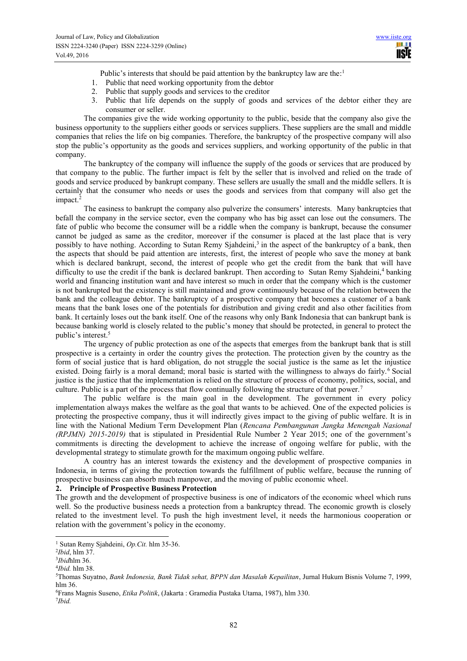Public's interests that should be paid attention by the bankruptcy law are the:<sup>1</sup>

- 1. Public that need working opportunity from the debtor
- 2. Public that supply goods and services to the creditor
- 3. Public that life depends on the supply of goods and services of the debtor either they are consumer or seller.

The companies give the wide working opportunity to the public, beside that the company also give the business opportunity to the suppliers either goods or services suppliers. These suppliers are the small and middle companies that relies the life on big companies. Therefore, the bankruptcy of the prospective company will also stop the public's opportunity as the goods and services suppliers, and working opportunity of the public in that company.

The bankruptcy of the company will influence the supply of the goods or services that are produced by that company to the public. The further impact is felt by the seller that is involved and relied on the trade of goods and service produced by bankrupt company. These sellers are usually the small and the middle sellers. It is certainly that the consumer who needs or uses the goods and services from that company will also get the impact.<sup>2</sup>

The easiness to bankrupt the company also pulverize the consumers' interests. Many bankruptcies that befall the company in the service sector, even the company who has big asset can lose out the consumers. The fate of public who become the consumer will be a riddle when the company is bankrupt, because the consumer cannot be judged as same as the creditor, moreover if the consumer is placed at the last place that is very possibly to have nothing. According to Sutan Remy Sjahdeini,<sup>3</sup> in the aspect of the bankruptcy of a bank, then the aspects that should be paid attention are interests, first, the interest of people who save the money at bank which is declared bankrupt, second, the interest of people who get the credit from the bank that will have difficulty to use the credit if the bank is declared bankrupt. Then according to Sutan Remy Sjahdeini,<sup>4</sup> banking world and financing institution want and have interest so much in order that the company which is the customer is not bankrupted but the existency is still maintained and grow continuously because of the relation between the bank and the colleague debtor. The bankruptcy of a prospective company that becomes a customer of a bank means that the bank loses one of the potentials for distribution and giving credit and also other facilities from bank. It certainly loses out the bank itself. One of the reasons why only Bank Indonesia that can bankrupt bank is because banking world is closely related to the public's money that should be protected, in general to protect the public's interest.<sup>5</sup>

The urgency of public protection as one of the aspects that emerges from the bankrupt bank that is still prospective is a certainty in order the country gives the protection. The protection given by the country as the form of social justice that is hard obligation, do not struggle the social justice is the same as let the injustice existed. Doing fairly is a moral demand; moral basic is started with the willingness to always do fairly.<sup>6</sup> Social justice is the justice that the implementation is relied on the structure of process of economy, politics, social, and culture. Public is a part of the process that flow continually following the structure of that power.<sup>7</sup>

The public welfare is the main goal in the development. The government in every policy implementation always makes the welfare as the goal that wants to be achieved. One of the expected policies is protecting the prospective company, thus it will indirectly gives impact to the giving of public welfare. It is in line with the National Medium Term Development Plan (*Rencana Pembangunan Jangka Menengah Nasional (RPJMN) 2015-2019)* that is stipulated in Presidential Rule Number 2 Year 2015; one of the government's commitments is directing the development to achieve the increase of ongoing welfare for public, with the developmental strategy to stimulate growth for the maximum ongoing public welfare.

A country has an interest towards the existency and the development of prospective companies in Indonesia, in terms of giving the protection towards the fulfillment of public welfare, because the running of prospective business can absorb much manpower, and the moving of public economic wheel.

# **2. Principle of Prospective Business Protection**

The growth and the development of prospective business is one of indicators of the economic wheel which runs well. So the productive business needs a protection from a bankruptcy thread. The economic growth is closely related to the investment level. To push the high investment level, it needs the harmonious cooperation or relation with the government's policy in the economy.

 $\overline{a}$ 

7 *Ibid.*

<sup>1</sup> Sutan Remy Sjahdeini, *Op.Cit.* hlm 35-36.

<sup>2</sup> *Ibid*, hlm 37.

<sup>3</sup> *Ibid*hlm 36.

<sup>4</sup> *Ibid.* hlm 38.

<sup>5</sup>Thomas Suyatno, *Bank Indonesia, Bank Tidak sehat, BPPN dan Masalah Kepailitan*, Jurnal Hukum Bisnis Volume 7, 1999, hlm 36.

<sup>6</sup>Frans Magnis Suseno, *Etika Politik*, (Jakarta : Gramedia Pustaka Utama, 1987), hlm 330.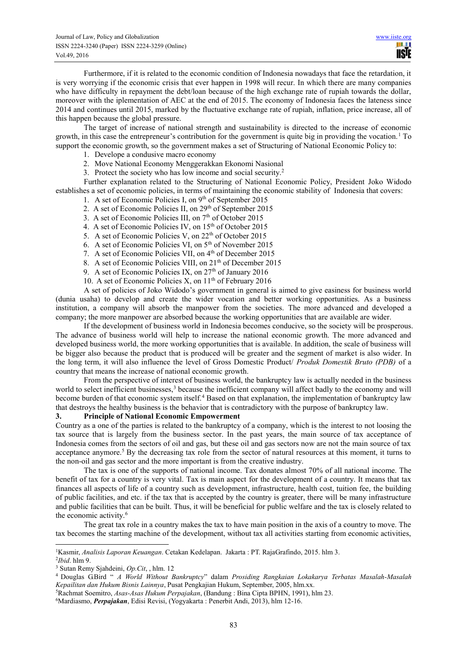Furthermore, if it is related to the economic condition of Indonesia nowadays that face the retardation, it is very worrying if the economic crisis that ever happen in 1998 will recur. In which there are many companies who have difficulty in repayment the debt/loan because of the high exchange rate of rupiah towards the dollar, moreover with the iplementation of AEC at the end of 2015. The economy of Indonesia faces the lateness since 2014 and continues until 2015, marked by the fluctuative exchange rate of rupiah, inflation, price increase, all of this happen because the global pressure.

The target of increase of national strength and sustainability is directed to the increase of economic growth, in this case the entrepreneur's contribution for the government is quite big in providing the vocation.<sup>1</sup> To support the economic growth, so the government makes a set of Structuring of National Economic Policy to:

- 1. Develope a condusive macro economy
- 2. Move National Economy Menggerakkan Ekonomi Nasional
- 3. Protect the society who has low income and social security.<sup>2</sup>

Further explanation related to the Structuring of National Economic Policy, President Joko Widodo establishes a set of economic policies, in terms of maintaining the economic stability of Indonesia that covers:

- 1. A set of Economic Policies I, on 9th of September 2015
- 2. A set of Economic Policies II, on 29<sup>th</sup> of September 2015
- 3. A set of Economic Policies III, on 7th of October 2015
- 4. A set of Economic Policies IV, on 15<sup>th</sup> of October 2015
- 5. A set of Economic Policies V, on 22<sup>th</sup> of October 2015
- 6. A set of Economic Policies VI, on 5th of November 2015
- 7. A set of Economic Policies VII, on 4<sup>th</sup> of December 2015
- 8. A set of Economic Policies VIII, on 21<sup>th</sup> of December 2015
- 9. A set of Economic Policies IX, on  $27<sup>th</sup>$  of January 2016
- 10. A set of Economic Policies X, on  $11<sup>th</sup>$  of February 2016

A set of policies of Joko Widodo's government in general is aimed to give easiness for business world (dunia usaha) to develop and create the wider vocation and better working opportunities. As a business institution, a company will absorb the manpower from the societies. The more advanced and developed a company; the more manpower are absorbed because the working opportunities that are available are wider.

If the development of business world in Indonesia becomes conducive, so the society will be prosperous. The advance of business world will help to increase the national economic growth. The more advanced and developed business world, the more working opportunities that is available. In addition, the scale of business will be bigger also because the product that is produced will be greater and the segment of market is also wider. In the long term, it will also influence the level of Gross Domestic Product/ *Produk Domestik Bruto (PDB)* of a country that means the increase of national economic growth.

From the perspective of interest of business world, the bankruptcy law is actually needed in the business world to select inefficient businesses,<sup>3</sup> because the inefficient company will affect badly to the economy and will become burden of that economic system itself.<sup>4</sup> Based on that explanation, the implementation of bankruptcy law that destroys the healthy business is the behavior that is contradictory with the purpose of bankruptcy law.

## **3. Principle of National Economic Empowerment**

Country as a one of the parties is related to the bankruptcy of a company, which is the interest to not loosing the tax source that is largely from the business sector. In the past years, the main source of tax acceptance of Indonesia comes from the sectors of oil and gas, but these oil and gas sectors now are not the main source of tax acceptance anymore.<sup>5</sup> By the decreasing tax role from the sector of natural resources at this moment, it turns to the non-oil and gas sector and the more important is from the creative industry.

The tax is one of the supports of national income. Tax donates almost 70% of all national income. The benefit of tax for a country is very vital. Tax is main aspect for the development of a country. It means that tax finances all aspects of life of a country such as development, infrastructure, health cost, tuition fee, the building of public facilities, and etc. if the tax that is accepted by the country is greater, there will be many infrastructure and public facilities that can be built. Thus, it will be beneficial for public welfare and the tax is closely related to the economic activity.<sup>6</sup>

The great tax role in a country makes the tax to have main position in the axis of a country to move. The tax becomes the starting machine of the development, without tax all activities starting from economic activities,

 $\overline{a}$ 

6Mardiasmo, *Perpajakan*, Edisi Revisi, (Yogyakarta : Penerbit Andi, 2013), hlm 12-16.

<sup>1</sup>Kasmir, *Analisis Laporan Keuangan*. Cetakan Kedelapan. Jakarta : PT. RajaGrafindo, 2015. hlm 3.

<sup>2</sup> *Ibid*. hlm 9.

<sup>3</sup> Sutan Remy Sjahdeini, *Op.Cit*, , hlm. 12

<sup>4</sup> Douglas G.Bird " *A World Without Bankruptcy*" dalam *Prosiding Rangkaian Lokakarya Terbatas Masalah-Masalah Kepailitan dan Hukum Bisnis Lainnya*, Pusat Pengkajian Hukum, September, 2005, hlm.xx.

<sup>5</sup>Rachmat Soemitro, *Asas-Asas Hukum Perpajakan*, (Bandung : Bina Cipta BPHN, 1991), hlm 23.